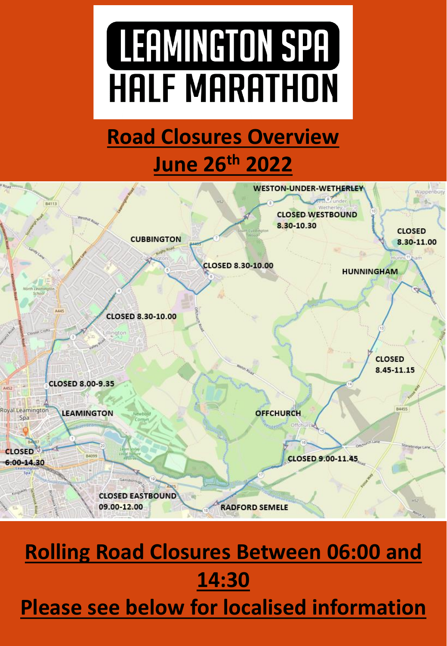# **Road Closures Overview**

## **June 26th 2022**



# **Rolling Road Closures Between 06:00 and 14:30 Please see below for localised information**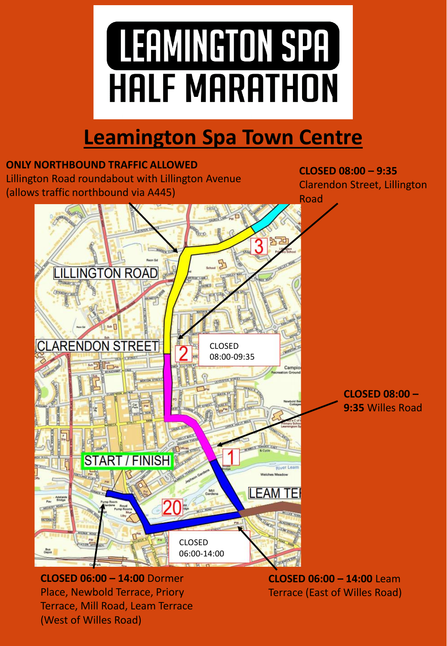## **Leamington Spa Town Centre**



### **CLOSED 06:00 – 14:00** Dormer Place, Newbold Terrace, Priory Terrace, Mill Road, Leam Terrace (West of Willes Road)

**CLOSED 06:00 – 14:00** Leam Terrace (East of Willes Road)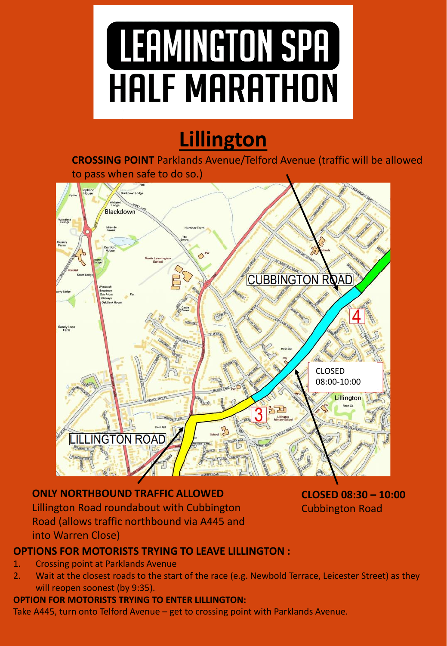## **Lillington**

**CROSSING POINT** Parklands Avenue/Telford Avenue (traffic will be allowed to pass when safe to do so.)



### **ONLY NORTHBOUND TRAFFIC ALLOWED**  Lillington Road roundabout with Cubbington Road (allows traffic northbound via A445 and into Warren Close)

**CLOSED 08:30 – 10:00**  Cubbington Road

### **OPTIONS FOR MOTORISTS TRYING TO LEAVE LILLINGTON :**

- 1. Crossing point at Parklands Avenue
- 2. Wait at the closest roads to the start of the race (e.g. Newbold Terrace, Leicester Street) as they will reopen soonest (by 9:35).

### **OPTION FOR MOTORISTS TRYING TO ENTER LILLINGTON:**

Take A445, turn onto Telford Avenue – get to crossing point with Parklands Avenue.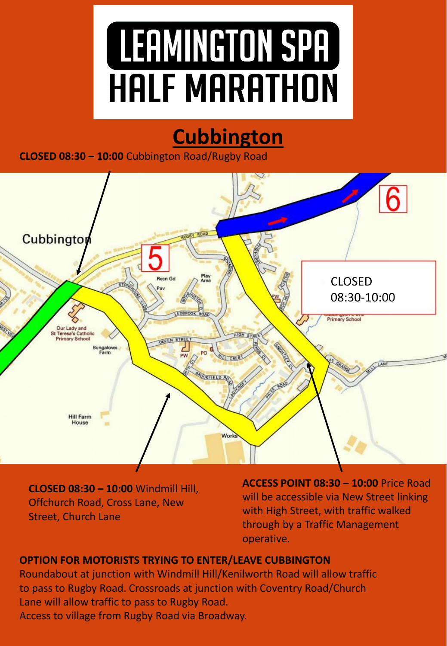## **Cubbington**

**CLOSED 08:30 – 10:00** Cubbington Road/Rugby Road



**CLOSED 08:30 – 10:00** Windmill Hill, Offchurch Road, Cross Lane, New Street, Church Lane

**ACCESS POINT 08:30 – 10:00** Price Road will be accessible via New Street linking with High Street, with traffic walked through by a Traffic Management operative.

### **OPTION FOR MOTORISTS TRYING TO ENTER/LEAVE CUBBINGTON**

Roundabout at junction with Windmill Hill/Kenilworth Road will allow traffic to pass to Rugby Road. Crossroads at junction with Coventry Road/Church Lane will allow traffic to pass to Rugby Road. Access to village from Rugby Road via Broadway.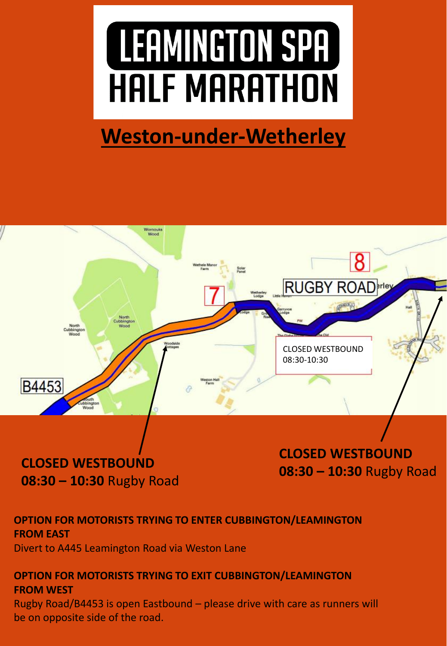## **Weston-under-Wetherley**



## **CLOSED WESTBOUND 08:30 – 10:30** Rugby Road

**08:30 – 10:30** Rugby Road

## **OPTION FOR MOTORISTS TRYING TO ENTER CUBBINGTON/LEAMINGTON FROM EAST**

Divert to A445 Leamington Road via Weston Lane

### **OPTION FOR MOTORISTS TRYING TO EXIT CUBBINGTON/LEAMINGTON FROM WEST**

Rugby Road/B4453 is open Eastbound – please drive with care as runners will be on opposite side of the road.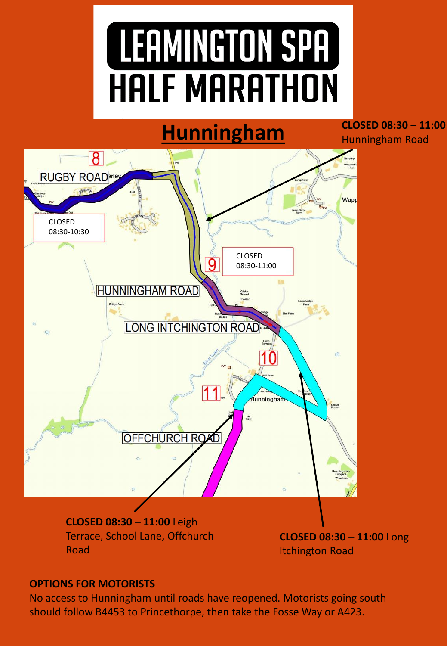

### **OPTIONS FOR MOTORISTS**

No access to Hunningham until roads have reopened. Motorists going south should follow B4453 to Princethorpe, then take the Fosse Way or A423.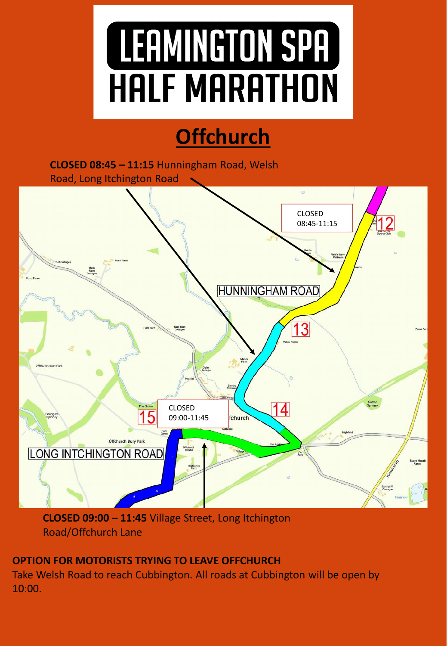# **Offchurch**

**CLOSED 08:45 – 11:15** Hunningham Road, Welsh Road, Long Itchington Road



## **CLOSED 09:00 – 11:45** Village Street, Long Itchington Road/Offchurch Lane

### **OPTION FOR MOTORISTS TRYING TO LEAVE OFFCHURCH**

Take Welsh Road to reach Cubbington. All roads at Cubbington will be open by 10:00.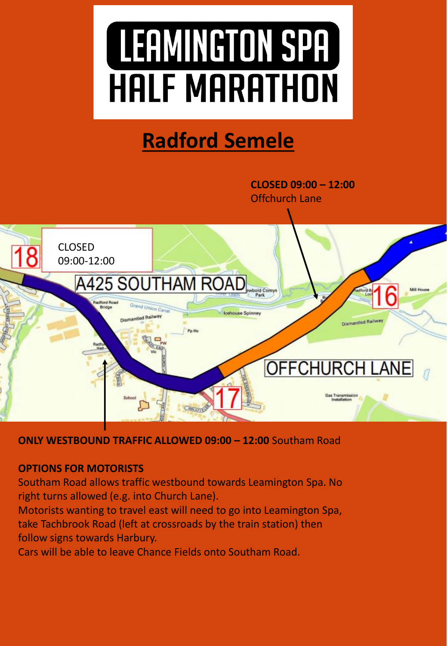## **Radford Semele**

**CLOSED 09:00 – 12:00**  Offchurch Lane



**ONLY WESTBOUND TRAFFIC ALLOWED 09:00 – 12:00** Southam Road

### **OPTIONS FOR MOTORISTS**

Southam Road allows traffic westbound towards Leamington Spa. No right turns allowed (e.g. into Church Lane).

Motorists wanting to travel east will need to go into Leamington Spa, take Tachbrook Road (left at crossroads by the train station) then follow signs towards Harbury.

Cars will be able to leave Chance Fields onto Southam Road.